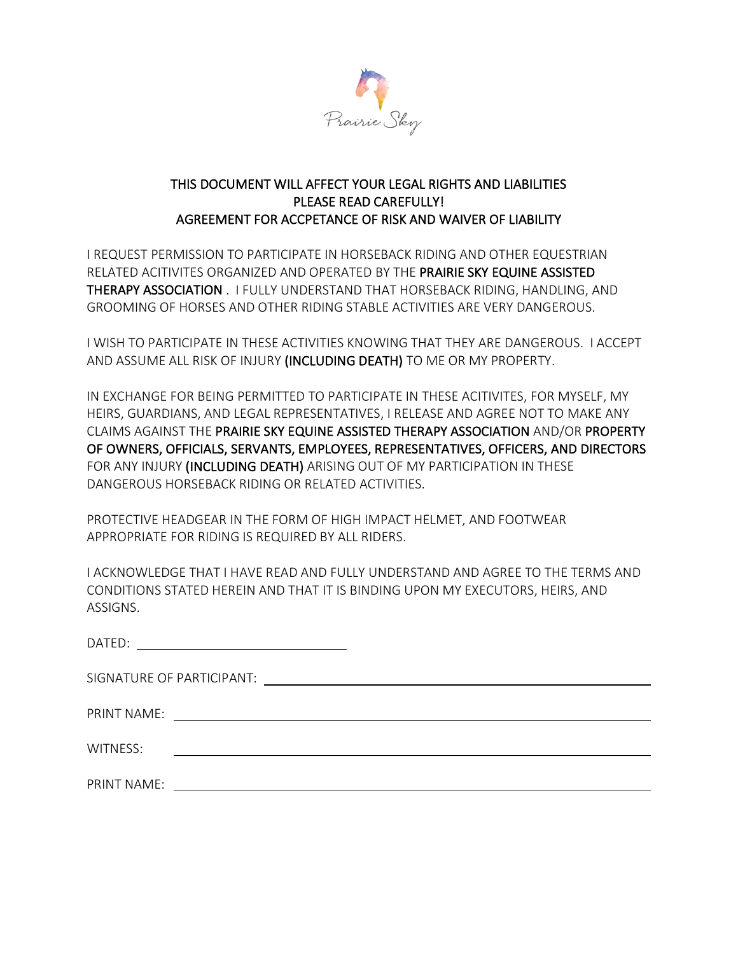

## THIS DOCUMENT WILL AFFECT YOUR LEGAL RIGHTS AND LIABILITIES PLEASE READ CAREFULLY! AGREEMENT FOR ACCPETANCE OF RISK AND WAIVER OF LIABILITY

I REQUEST PERMISSION TO PARTICIPATE IN HORSEBACK RIDING AND OTHER EQUESTRIAN RELATED ACITIVITES ORGANIZED AND OPERATED BY THE PRAIRIE SKY EQUINE ASSISTED THERAPY ASSOCIATION . I FULLY UNDERSTAND THAT HORSEBACK RIDING, HANDLING, AND GROOMING OF HORSES AND OTHER RIDING STABLE ACTIVITIES ARE VERY DANGEROUS.

I WISH TO PARTICIPATE IN THESE ACTIVITIES KNOWING THAT THEY ARE DANGEROUS. I ACCEPT AND ASSUME ALL RISK OF INJURY (INCLUDING DEATH) TO ME OR MY PROPERTY.

IN EXCHANGE FOR BEING PERMITTED TO PARTICIPATE IN THESE ACITIVITES, FOR MYSELF, MY HEIRS, GUARDIANS, AND LEGAL REPRESENTATIVES, I RELEASE AND AGREE NOT TO MAKE ANY CLAIMS AGAINST THE PRAIRIE SKY EQUINE ASSISTED THERAPY ASSOCIATION AND/OR PROPERTY OF OWNERS, OFFICIALS, SERVANTS, EMPLOYEES, REPRESENTATIVES, OFFICERS, AND DIRECTORS FOR ANY INJURY (INCLUDING DEATH) ARISING OUT OF MY PARTICIPATION IN THESE DANGEROUS HORSEBACK RIDING OR RELATED ACTIVITIES.

PROTECTIVE HEADGEAR IN THE FORM OF HIGH IMPACT HELMET, AND FOOTWEAR APPROPRIATE FOR RIDING IS REQUIRED BY ALL RIDERS.

I ACKNOWLEDGE THAT I HAVE READ AND FULLY UNDERSTAND AND AGREE TO THE TERMS AND CONDITIONS STATED HEREIN AND THAT IT IS BINDING UPON MY EXECUTORS, HEIRS, AND ASSIGNS.

| DATED:      | <u> The Communication of the Communication of the Communication of the Communication of the Communication of the Communication of the Communication of the Communication of the Communication of the Communication of the Commun</u> |  |
|-------------|--------------------------------------------------------------------------------------------------------------------------------------------------------------------------------------------------------------------------------------|--|
|             |                                                                                                                                                                                                                                      |  |
| PRINT NAME: |                                                                                                                                                                                                                                      |  |
| WITNESS:    | <u> 1980 - Andrea Station, amerikansk politik (</u>                                                                                                                                                                                  |  |
| PRINT NAME: | <u> 1980 - Jan Sterling Sterling (d. 1980)</u>                                                                                                                                                                                       |  |